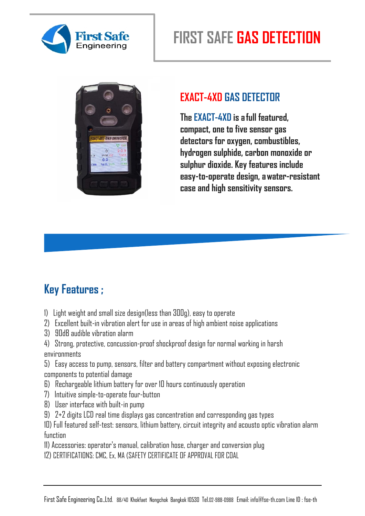

# **FIRST SAFE GAS DETECTION**



#### **EXACT-4XD GAS DETECTOR**

**The EXACT-4XD is a full featured, compact, one to five sensor gas detectors for oxygen, combustibles, hydrogen sulphide, carbon monoxide or sulphur dioxide. Key features include easy-to-operate design, a water-resistant case and high sensitivity sensors.**

### **Key Features ;**

- 1) Light weight and small size design(less than 300g), easy to operate
- 2) Excellent built-in vibration alert for use in areas of high ambient noise applications
- 3) 90dB audible vibration alarm
- 4) Strong, protective, concussion-proof shockproof design for normal working in harsh environments
- 5) Easy access to pump, sensors, filter and battery compartment without exposing electronic components to potential damage
- 6) Rechargeable lithium battery for over 10 hours continuously operation
- 7) Intuitive simple-to-operate four-button
- 8) User interface with built-in pump
- 9) 2+2 digits LCD real time displays gas concentration and corresponding gas types

10) Full featured self-test: sensors, lithium battery, circuit integrity and acousto optic vibration alarm function

- 11) Accessories: operator's manual, calibration hose, charger and conversion plug
- 12) CERTIFICATIONS: CMC, Ex, MA (SAFETY CERTIFICATE OF APPROVAL FOR COAL